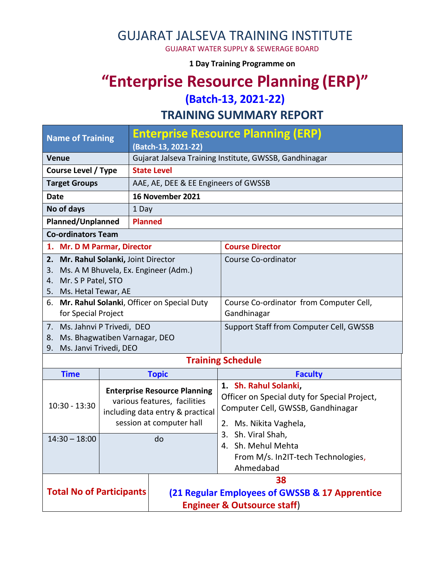GUJARAT JALSEVA TRAINING INSTITUTE

GUJARAT WATER SUPPLY & SEWERAGE BOARD

**1 Day Training Programme on** 

## **"Enterprise Resource Planning (ERP)"**

**(Batch-13, 2021-22)**

**TRAINING SUMMARY REPORT**

| <b>Name of Training</b>                                                                                                                     |                                                                                                                                     | <b>Enterprise Resource Planning (ERP)</b><br>(Batch-13, 2021-22) |                                                                                                                                                                                                                                        |  |  |
|---------------------------------------------------------------------------------------------------------------------------------------------|-------------------------------------------------------------------------------------------------------------------------------------|------------------------------------------------------------------|----------------------------------------------------------------------------------------------------------------------------------------------------------------------------------------------------------------------------------------|--|--|
| <b>Venue</b>                                                                                                                                |                                                                                                                                     | Gujarat Jalseva Training Institute, GWSSB, Gandhinagar           |                                                                                                                                                                                                                                        |  |  |
| <b>Course Level / Type</b>                                                                                                                  |                                                                                                                                     | <b>State Level</b>                                               |                                                                                                                                                                                                                                        |  |  |
| <b>Target Groups</b>                                                                                                                        |                                                                                                                                     | AAE, AE, DEE & EE Engineers of GWSSB                             |                                                                                                                                                                                                                                        |  |  |
| <b>Date</b>                                                                                                                                 |                                                                                                                                     | 16 November 2021                                                 |                                                                                                                                                                                                                                        |  |  |
| No of days                                                                                                                                  |                                                                                                                                     | 1 Day                                                            |                                                                                                                                                                                                                                        |  |  |
| Planned/Unplanned                                                                                                                           |                                                                                                                                     | <b>Planned</b>                                                   |                                                                                                                                                                                                                                        |  |  |
| <b>Co-ordinators Team</b>                                                                                                                   |                                                                                                                                     |                                                                  |                                                                                                                                                                                                                                        |  |  |
| 1. Mr. D M Parmar, Director                                                                                                                 |                                                                                                                                     |                                                                  | <b>Course Director</b>                                                                                                                                                                                                                 |  |  |
| Mr. Rahul Solanki, Joint Director<br>2.<br>Ms. A M Bhuvela, Ex. Engineer (Adm.)<br>3.<br>Mr. S P Patel, STO<br>4.<br>5. Ms. Hetal Tewar, AE |                                                                                                                                     |                                                                  | Course Co-ordinator                                                                                                                                                                                                                    |  |  |
| 6. Mr. Rahul Solanki, Officer on Special Duty<br>for Special Project                                                                        |                                                                                                                                     |                                                                  | Course Co-ordinator from Computer Cell,<br>Gandhinagar                                                                                                                                                                                 |  |  |
| 7. Ms. Jahnvi P Trivedi, DEO<br>Ms. Bhagwatiben Varnagar, DEO<br>8.<br>Ms. Janvi Trivedi, DEO<br>9.                                         |                                                                                                                                     |                                                                  | Support Staff from Computer Cell, GWSSB                                                                                                                                                                                                |  |  |
|                                                                                                                                             |                                                                                                                                     |                                                                  | <b>Training Schedule</b>                                                                                                                                                                                                               |  |  |
| <b>Time</b>                                                                                                                                 |                                                                                                                                     | <b>Topic</b>                                                     | <b>Faculty</b>                                                                                                                                                                                                                         |  |  |
| 10:30 - 13:30                                                                                                                               | <b>Enterprise Resource Planning</b><br>various features, facilities<br>including data entry & practical<br>session at computer hall |                                                                  | 1. Sh. Rahul Solanki,<br>Officer on Special duty for Special Project,<br>Computer Cell, GWSSB, Gandhinagar<br>2. Ms. Nikita Vaghela,<br>Sh. Viral Shah,<br>3.<br>4. Sh. Mehul Mehta<br>From M/s. In2IT-tech Technologies,<br>Ahmedabad |  |  |
| $14:30 - 18:00$<br>do                                                                                                                       |                                                                                                                                     |                                                                  |                                                                                                                                                                                                                                        |  |  |
| <b>Total No of Participants</b>                                                                                                             |                                                                                                                                     | 38                                                               |                                                                                                                                                                                                                                        |  |  |
|                                                                                                                                             |                                                                                                                                     | (21 Regular Employees of GWSSB & 17 Apprentice                   |                                                                                                                                                                                                                                        |  |  |
|                                                                                                                                             |                                                                                                                                     | <b>Engineer &amp; Outsource staff)</b>                           |                                                                                                                                                                                                                                        |  |  |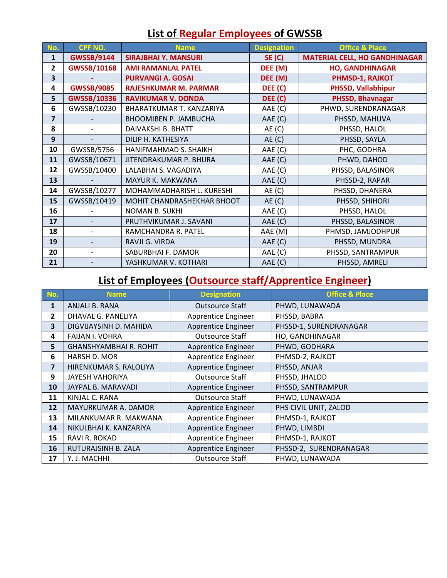| No. | <b>CPF NO.</b>     | <b>Name</b>                  | <b>Designation</b> | <b>Office &amp; Place</b>            |
|-----|--------------------|------------------------------|--------------------|--------------------------------------|
| 1   | <b>GWSSB/9144</b>  | <b>SIRAJBHAI Y. MANSURI</b>  | <b>SE (C)</b>      | <b>MATERIAL CELL, HO GANDHINAGAR</b> |
| 2   | <b>GWSSB/10168</b> | <b>AMI RAMANLAL PATEL</b>    | DEE (M)            | <b>HO, GANDHINAGAR</b>               |
| 3   |                    | <b>PURVANGI A. GOSAI</b>     | DEE (M)            | PHMSD-1, RAJKOT                      |
| 4   | <b>GWSSB/9085</b>  | <b>RAJESHKUMAR M. PARMAR</b> | DEE (C)            | <b>PHSSD, Vallabhipur</b>            |
| 5   | <b>GWSSB/10336</b> | <b>RAVIKUMAR V. DONDA</b>    | DEE (C)            | PHSSD, Bhavnagar                     |
| 6   | GWSSB/10230        | BHARATKUMAR T. KANZARIYA     | AAE (C)            | PHWD, SURENDRANAGAR                  |
| 7   |                    | <b>BHOOMIBEN P. JAMBUCHA</b> | AAE (C)            | PHSSD, MAHUVA                        |
| 8   |                    | DAIVAKSHI B. BHATT           | AE(C)              | PHSSD, HALOL                         |
| 9   |                    | DILIP H. KATHESIYA           | AE(C)              | PHSSD, SAYLA                         |
| 10  | GWSSB/5756         | HANIFMAHMAD S. SHAIKH        | AAE (C)            | PHC, GODHRA                          |
| 11  | GWSSB/10671        | JITENDRAKUMAR P. BHURA       | AAE (C)            | PHWD, DAHOD                          |
| 12  | GWSSB/10400        | LALABHAI S. VAGADIYA         | AAE (C)            | PHSSD, BALASINOR                     |
| 13  |                    | MAYUR K. MAKWANA             | AAE (C)            | PHSSD-2, RAPAR                       |
| 14  | GWSSB/10277        | MOHAMMADHARISH L. KURESHI    | AE(C)              | PHSSD, DHANERA                       |
| 15  | GWSSB/10419        | MOHIT CHANDRASHEKHAR BHOOT   | AE(C)              | PHSSD, SHIHORI                       |
| 16  |                    | <b>NOMAN B. SUKHI</b>        | AAE (C)            | PHSSD, HALOL                         |
| 17  |                    | PRUTHVIKUMAR J. SAVANI       | AAE (C)            | PHSSD, BALASINOR                     |
| 18  |                    | RAMCHANDRA R. PATEL          | AAE (M)            | PHMSD, JAMJODHPUR                    |
| 19  |                    | RAVJI G. VIRDA               | AAE (C)            | PHSSD, MUNDRA                        |
| 20  |                    | SABURBHAI F. DAMOR           | AAE (C)            | PHSSD, SANTRAMPUR                    |
| 21  |                    | YASHKUMAR V. KOTHARI         | AAE (C)            | PHSSD, AMRELI                        |

## **List of Regular Employees of GWSSB**

## **List of Employees (Outsource staff/Apprentice Engineer)**

| No.            | <b>Name</b>                   | <b>Designation</b>     | <b>Office &amp; Place</b> |
|----------------|-------------------------------|------------------------|---------------------------|
| 1              | ANJALI B. RANA                | <b>Outsource Staff</b> | PHWD, LUNAWADA            |
| $\overline{2}$ | DHAVAL G. PANELIYA            | Apprentice Engineer    | PHSSD, BABRA              |
| 3              | DIGVIJAYSINH D. MAHIDA        | Apprentice Engineer    | PHSSD-1, SURENDRANAGAR    |
| 4              | <b>FAIJAN I. VOHRA</b>        | <b>Outsource Staff</b> | HO, GANDHINAGAR           |
| 5              | <b>GHANSHYAMBHAI R. ROHIT</b> | Apprentice Engineer    | PHWD, GODHARA             |
| 6              | HARSH D. MOR                  | Apprentice Engineer    | PHMSD-2, RAJKOT           |
| 7              | HIRENKUMAR S. RALOLIYA        | Apprentice Engineer    | PHSSD, ANJAR              |
| 9              | <b>JAYESH VAHORIYA</b>        | <b>Outsource Staff</b> | PHSSD, JHALOD             |
| 10             | JAYPAL B. MARAVADI            | Apprentice Engineer    | PHSSD, SANTRAMPUR         |
| 11             | KINJAL C. RANA                | <b>Outsource Staff</b> | PHWD, LUNAWADA            |
| 12             | MAYURKUMAR A. DAMOR           | Apprentice Engineer    | PHS CIVIL UNIT, ZALOD     |
| 13             | MILANKUMAR R. MAKWANA         | Apprentice Engineer    | PHMSD-1, RAJKOT           |
| 14             | NIKULBHAI K. KANZARIYA        | Apprentice Engineer    | PHWD, LIMBDI              |
| 15             | RAVI R. ROKAD                 | Apprentice Engineer    | PHMSD-1, RAJKOT           |
| 16             | RUTURAJSINH B. ZALA           | Apprentice Engineer    | PHSSD-2, SURENDRANAGAR    |
| 17             | Y. J. MACHHI                  | <b>Outsource Staff</b> | PHWD, LUNAWADA            |